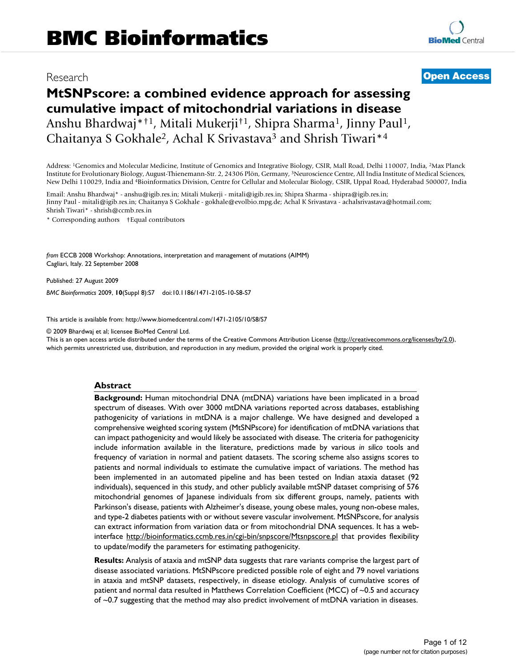# **MtSNPscore: a combined evidence approach for assessing cumulative impact of mitochondrial variations in disease** Anshu Bhardwaj\*†1, Mitali Mukerji†1, Shipra Sharma<sup>1</sup>, Jinny Paul<sup>1</sup>, Chaitanya S Gokhale<sup>2</sup>, Achal K Srivastava<sup>3</sup> and Shrish Tiwari\*<sup>4</sup>

Address: <sup>1</sup>Genomics and Molecular Medicine, Institute of Genomics and Integrative Biology, CSIR, Mall Road, Delhi 110007, India, <sup>2</sup>Max Planck Institute for Evolutionary Biology, August-Thienemann-Str. 2, 24306 Plön, Germany, <sup>3</sup>Neuroscience Centre, All India Institute of Medical Sciences, New Delhi 110029, India and <sup>4</sup>Bioinformatics Division, Centre for Cellular and Molecular Biology, CSIR, Uppal Road, Hyderabad 500007, India

Email: Anshu Bhardwaj\* - anshu@igib.res.in; Mitali Mukerji - mitali@igib.res.in; Shipra Sharma - shipra@igib.res.in; Jinny Paul - mitali@igib.res.in; Chaitanya S Gokhale - gokhale@evolbio.mpg.de; Achal K Srivastava - achalsrivastava@hotmail.com; Shrish Tiwari\* - shrish@ccmb.res.in

\* Corresponding authors †Equal contributors

*from* ECCB 2008 Workshop: Annotations, interpretation and management of mutations (AIMM) Cagliari, Italy. 22 September 2008

Published: 27 August 2009

*BMC Bioinformatics* 2009, **10**(Suppl 8):S7 doi:10.1186/1471-2105-10-S8-S7

[This article is available from: http://www.biomedcentral.com/1471-2105/10/S8/S7](http://www.biomedcentral.com/1471-2105/10/S8/S7)

© 2009 Bhardwaj et al; licensee BioMed Central Ltd.

This is an open access article distributed under the terms of the Creative Commons Attribution License [\(http://creativecommons.org/licenses/by/2.0\)](http://creativecommons.org/licenses/by/2.0), which permits unrestricted use, distribution, and reproduction in any medium, provided the original work is properly cited.

#### **Abstract**

**Background:** Human mitochondrial DNA (mtDNA) variations have been implicated in a broad spectrum of diseases. With over 3000 mtDNA variations reported across databases, establishing pathogenicity of variations in mtDNA is a major challenge. We have designed and developed a comprehensive weighted scoring system (MtSNPscore) for identification of mtDNA variations that can impact pathogenicity and would likely be associated with disease. The criteria for pathogenicity include information available in the literature, predictions made by various *in silico* tools and frequency of variation in normal and patient datasets. The scoring scheme also assigns scores to patients and normal individuals to estimate the cumulative impact of variations. The method has been implemented in an automated pipeline and has been tested on Indian ataxia dataset (92 individuals), sequenced in this study, and other publicly available mtSNP dataset comprising of 576 mitochondrial genomes of Japanese individuals from six different groups, namely, patients with Parkinson's disease, patients with Alzheimer's disease, young obese males, young non-obese males, and type-2 diabetes patients with or without severe vascular involvement. MtSNPscore, for analysis can extract information from variation data or from mitochondrial DNA sequences. It has a webinterface <http://bioinformatics.ccmb.res.in/cgi-bin/snpscore/Mtsnpscore.pl> that provides flexibility to update/modify the parameters for estimating pathogenicity.

**Results:** Analysis of ataxia and mtSNP data suggests that rare variants comprise the largest part of disease associated variations. MtSNPscore predicted possible role of eight and 79 novel variations in ataxia and mtSNP datasets, respectively, in disease etiology. Analysis of cumulative scores of patient and normal data resulted in Matthews Correlation Coefficient (MCC) of ~0.5 and accuracy of ~0.7 suggesting that the method may also predict involvement of mtDNA variation in diseases.

# Research [Open Access](http://www.biomedcentral.com/info/about/charter/)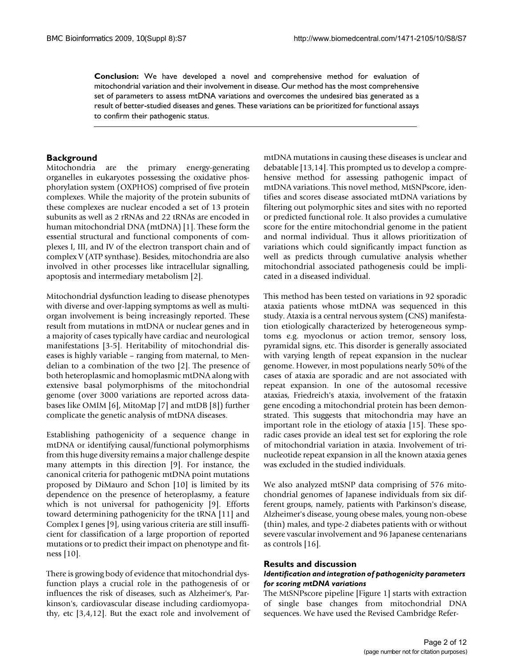**Conclusion:** We have developed a novel and comprehensive method for evaluation of mitochondrial variation and their involvement in disease. Our method has the most comprehensive set of parameters to assess mtDNA variations and overcomes the undesired bias generated as a result of better-studied diseases and genes. These variations can be prioritized for functional assays to confirm their pathogenic status.

# **Background**<br>Mitochondria

are the primary energy-generating organelles in eukaryotes possessing the oxidative phosphorylation system (OXPHOS) comprised of five protein complexes. While the majority of the protein subunits of these complexes are nuclear encoded a set of 13 protein subunits as well as 2 rRNAs and 22 tRNAs are encoded in human mitochondrial DNA (mtDNA) [1]. These form the essential structural and functional components of complexes I, III, and IV of the electron transport chain and of complex V (ATP synthase). Besides, mitochondria are also involved in other processes like intracellular signalling, apoptosis and intermediary metabolism [2].

Mitochondrial dysfunction leading to disease phenotypes with diverse and over-lapping symptoms as well as multiorgan involvement is being increasingly reported. These result from mutations in mtDNA or nuclear genes and in a majority of cases typically have cardiac and neurological manifestations [3-5]. Heritability of mitochondrial diseases is highly variable – ranging from maternal, to Mendelian to a combination of the two [2]. The presence of both heteroplasmic and homoplasmic mtDNA along with extensive basal polymorphisms of the mitochondrial genome (over 3000 variations are reported across databases like OMIM [6], MitoMap [7] and mtDB [8]) further complicate the genetic analysis of mtDNA diseases.

Establishing pathogenicity of a sequence change in mtDNA or identifying causal/functional polymorphisms from this huge diversity remains a major challenge despite many attempts in this direction [9]. For instance, the canonical criteria for pathogenic mtDNA point mutations proposed by DiMauro and Schon [10] is limited by its dependence on the presence of heteroplasmy, a feature which is not universal for pathogenicity [9]. Efforts toward determining pathogenicity for the tRNA [11] and Complex I genes [9], using various criteria are still insufficient for classification of a large proportion of reported mutations or to predict their impact on phenotype and fitness [10].

There is growing body of evidence that mitochondrial dysfunction plays a crucial role in the pathogenesis of or influences the risk of diseases, such as Alzheimer's, Parkinson's, cardiovascular disease including cardiomyopathy, etc [3,4,12]. But the exact role and involvement of mtDNA mutations in causing these diseases is unclear and debatable [13,14]. This prompted us to develop a comprehensive method for assessing pathogenic impact of mtDNA variations. This novel method, MtSNPscore, identifies and scores disease associated mtDNA variations by filtering out polymorphic sites and sites with no reported or predicted functional role. It also provides a cumulative score for the entire mitochondrial genome in the patient and normal individual. Thus it allows prioritization of variations which could significantly impact function as well as predicts through cumulative analysis whether mitochondrial associated pathogenesis could be implicated in a diseased individual.

This method has been tested on variations in 92 sporadic ataxia patients whose mtDNA was sequenced in this study. Ataxia is a central nervous system (CNS) manifestation etiologically characterized by heterogeneous symptoms e.g. myoclonus or action tremor, sensory loss, pyramidal signs, etc. This disorder is generally associated with varying length of repeat expansion in the nuclear genome. However, in most populations nearly 50% of the cases of ataxia are sporadic and are not associated with repeat expansion. In one of the autosomal recessive ataxias, Friedreich's ataxia, involvement of the frataxin gene encoding a mitochondrial protein has been demonstrated. This suggests that mitochondria may have an important role in the etiology of ataxia [15]. These sporadic cases provide an ideal test set for exploring the role of mitochondrial variation in ataxia. Involvement of trinucleotide repeat expansion in all the known ataxia genes was excluded in the studied individuals.

We also analyzed mtSNP data comprising of 576 mitochondrial genomes of Japanese individuals from six different groups, namely, patients with Parkinson's disease, Alzheimer's disease, young obese males, young non-obese (thin) males, and type-2 diabetes patients with or without severe vascular involvement and 96 Japanese centenarians as controls [16].

#### **Results and discussion**

#### *Identification and integration of pathogenicity parameters for scoring mtDNA variations*

The MtSNPscore pipeline [Figure 1] starts with extraction of single base changes from mitochondrial DNA sequences. We have used the Revised Cambridge Refer-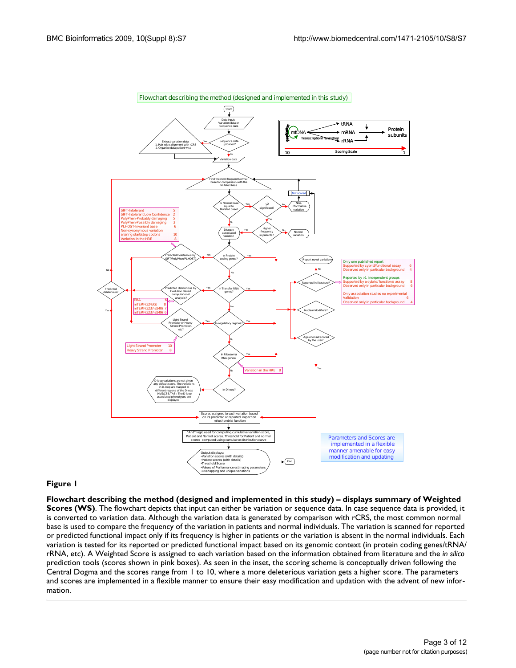

#### **Figure 1**

**Flowchart describing the method (designed and implemented in this study) – displays summary of Weighted Scores (WS)**. The flowchart depicts that input can either be variation or sequence data. In case sequence data is provided, it is converted to variation data. Although the variation data is generated by comparison with rCRS, the most common normal base is used to compare the frequency of the variation in patients and normal individuals. The variation is scanned for reported or predicted functional impact only if its frequency is higher in patients or the variation is absent in the normal individuals. Each variation is tested for its reported or predicted functional impact based on its genomic context (in protein coding genes/tRNA/ rRNA, etc). A Weighted Score is assigned to each variation based on the information obtained from literature and the *in silico*  prediction tools (scores shown in pink boxes). As seen in the inset, the scoring scheme is conceptually driven following the Central Dogma and the scores range from 1 to 10, where a more deleterious variation gets a higher score. The parameters and scores are implemented in a flexible manner to ensure their easy modification and updation with the advent of new information.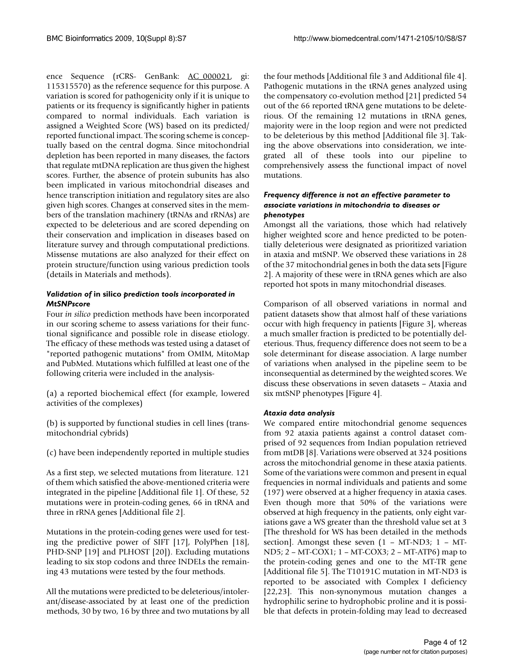ence Sequence (rCRS- GenBank: [AC\\_000021](http://www.ncbi.nih.gov/entrez/query.fcgi?db=Nucleotide&cmd=search&term=AC_000021), gi: 115315570) as the reference sequence for this purpose. A variation is scored for pathogenicity only if it is unique to patients or its frequency is significantly higher in patients compared to normal individuals. Each variation is assigned a Weighted Score (WS) based on its predicted/ reported functional impact. The scoring scheme is conceptually based on the central dogma. Since mitochondrial depletion has been reported in many diseases, the factors that regulate mtDNA replication are thus given the highest scores. Further, the absence of protein subunits has also been implicated in various mitochondrial diseases and hence transcription initiation and regulatory sites are also given high scores. Changes at conserved sites in the members of the translation machinery (tRNAs and rRNAs) are expected to be deleterious and are scored depending on their conservation and implication in diseases based on literature survey and through computational predictions. Missense mutations are also analyzed for their effect on protein structure/function using various prediction tools (details in Materials and methods).

# *Validation of* **in silico** *prediction tools incorporated in MtSNPscore*

Four *in silico* prediction methods have been incorporated in our scoring scheme to assess variations for their functional significance and possible role in disease etiology. The efficacy of these methods was tested using a dataset of "reported pathogenic mutations" from OMIM, MitoMap and PubMed. Mutations which fulfilled at least one of the following criteria were included in the analysis-

(a) a reported biochemical effect (for example, lowered activities of the complexes)

(b) is supported by functional studies in cell lines (transmitochondrial cybrids)

(c) have been independently reported in multiple studies

As a first step, we selected mutations from literature. 121 of them which satisfied the above-mentioned criteria were integrated in the pipeline [Additional file 1]. Of these, 52 mutations were in protein-coding genes, 66 in tRNA and three in rRNA genes [Additional file 2].

Mutations in the protein-coding genes were used for testing the predictive power of SIFT [17], PolyPhen [18], PHD-SNP [19] and PLHOST [20]). Excluding mutations leading to six stop codons and three INDELs the remaining 43 mutations were tested by the four methods.

All the mutations were predicted to be deleterious/intolerant/disease-associated by at least one of the prediction methods, 30 by two, 16 by three and two mutations by all

the four methods [Additional file 3 and Additional file 4]. Pathogenic mutations in the tRNA genes analyzed using the compensatory co-evolution method [21] predicted 54 out of the 66 reported tRNA gene mutations to be deleterious. Of the remaining 12 mutations in tRNA genes, majority were in the loop region and were not predicted to be deleterious by this method [Additional file 3]. Taking the above observations into consideration, we integrated all of these tools into our pipeline to comprehensively assess the functional impact of novel mutations.

# *Frequency difference is not an effective parameter to associate variations in mitochondria to diseases or phenotypes*

Amongst all the variations, those which had relatively higher weighted score and hence predicted to be potentially deleterious were designated as prioritized variation in ataxia and mtSNP. We observed these variations in 28 of the 37 mitochondrial genes in both the data sets [Figure 2]. A majority of these were in tRNA genes which are also reported hot spots in many mitochondrial diseases.

Comparison of all observed variations in normal and patient datasets show that almost half of these variations occur with high frequency in patients [Figure 3], whereas a much smaller fraction is predicted to be potentially deleterious. Thus, frequency difference does not seem to be a sole determinant for disease association. A large number of variations when analysed in the pipeline seem to be inconsequential as determined by the weighted scores. We discuss these observations in seven datasets – Ataxia and six mtSNP phenotypes [Figure 4].

# *Ataxia data analysis*

We compared entire mitochondrial genome sequences from 92 ataxia patients against a control dataset comprised of 92 sequences from Indian population retrieved from mtDB [8]. Variations were observed at 324 positions across the mitochondrial genome in these ataxia patients. Some of the variations were common and present in equal frequencies in normal individuals and patients and some (197) were observed at a higher frequency in ataxia cases. Even though more that 50% of the variations were observed at high frequency in the patients, only eight variations gave a WS greater than the threshold value set at 3 [The threshold for WS has been detailed in the methods section]. Amongst these seven (1 – MT-ND3; 1 – MT-ND5; 2 – MT-COX1; 1 – MT-COX3; 2 – MT-ATP6) map to the protein-coding genes and one to the MT-TR gene [Additional file 5]. The T10191C mutation in MT-ND3 is reported to be associated with Complex I deficiency [22,23]. This non-synonymous mutation changes a hydrophilic serine to hydrophobic proline and it is possible that defects in protein-folding may lead to decreased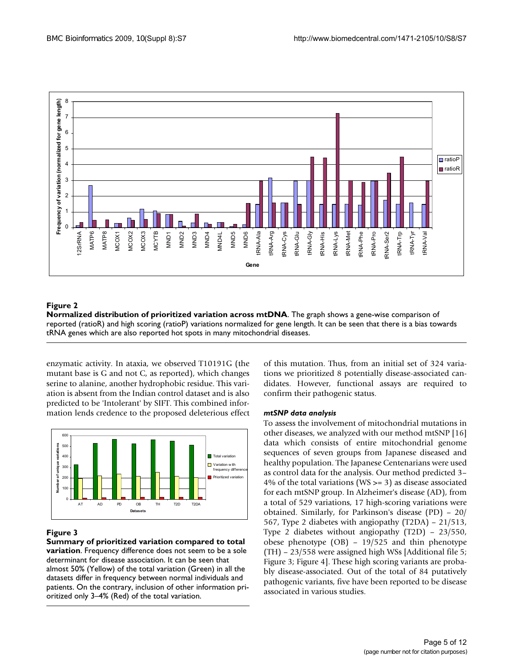

# Figure 2

**Normalized distribution of prioritized variation across mtDNA**. The graph shows a gene-wise comparison of reported (ratioR) and high scoring (ratioP) variations normalized for gene length. It can be seen that there is a bias towards tRNA genes which are also reported hot spots in many mitochondrial diseases.

enzymatic activity. In ataxia, we observed T10191G (the mutant base is G and not C, as reported), which changes serine to alanine, another hydrophobic residue. This variation is absent from the Indian control dataset and is also predicted to be 'Intolerant' by SIFT. This combined information lends credence to the proposed deleterious effect



# **Figure 3**

**Summary of prioritized variation compared to total variation**. Frequency difference does not seem to be a sole determinant for disease association. It can be seen that almost 50% (Yellow) of the total variation (Green) in all the datasets differ in frequency between normal individuals and patients. On the contrary, inclusion of other information prioritized only 3–4% (Red) of the total variation.

of this mutation. Thus, from an initial set of 324 variations we prioritized 8 potentially disease-associated candidates. However, functional assays are required to confirm their pathogenic status.

#### *mtSNP data analysis*

To assess the involvement of mitochondrial mutations in other diseases, we analyzed with our method mtSNP [16] data which consists of entire mitochondrial genome sequences of seven groups from Japanese diseased and healthy population. The Japanese Centenarians were used as control data for the analysis. Our method predicted 3– 4% of the total variations (WS >= 3) as disease associated for each mtSNP group. In Alzheimer's disease (AD), from a total of 529 variations, 17 high-scoring variations were obtained. Similarly, for Parkinson's disease (PD) – 20/ 567, Type 2 diabetes with angiopathy (T2DA) – 21/513, Type 2 diabetes without angiopathy (T2D) – 23/550, obese phenotype (OB) – 19/525 and thin phenotype (TH) – 23/558 were assigned high WSs [Additional file 5; Figure 3; Figure 4]. These high scoring variants are probably disease-associated. Out of the total of 84 putatively pathogenic variants, five have been reported to be disease associated in various studies.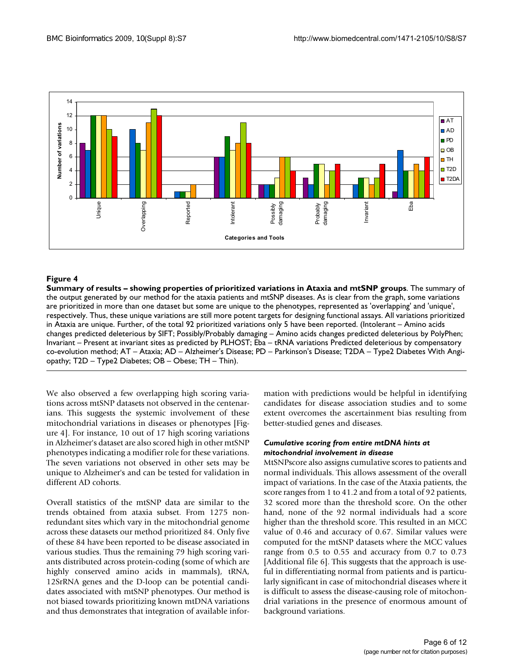

# Summary of results – showing properties of prio **Figure 4** ritized variations in Ataxia and mtSNP groups

**Summary of results – showing properties of prioritized variations in Ataxia and mtSNP groups**. The summary of the output generated by our method for the ataxia patients and mtSNP diseases. As is clear from the graph, some variations are prioritized in more than one dataset but some are unique to the phenotypes, represented as 'overlapping' and 'unique', respectively. Thus, these unique variations are still more potent targets for designing functional assays. All variations prioritized in Ataxia are unique. Further, of the total 92 prioritized variations only 5 have been reported. (Intolerant – Amino acids changes predicted deleterious by SIFT; Possibly/Probably damaging – Amino acids changes predicted deleterious by PolyPhen; Invariant – Present at invariant sites as predicted by PLHOST; Eba – tRNA variations Predicted deleterious by compensatory co-evolution method; AT – Ataxia; AD – Alzheimer's Disease; PD – Parkinson's Disease; T2DA – Type2 Diabetes With Angiopathy; T2D – Type2 Diabetes; OB – Obese; TH – Thin).

We also observed a few overlapping high scoring variations across mtSNP datasets not observed in the centenarians. This suggests the systemic involvement of these mitochondrial variations in diseases or phenotypes [Figure 4]. For instance, 10 out of 17 high scoring variations in Alzheimer's dataset are also scored high in other mtSNP phenotypes indicating a modifier role for these variations. The seven variations not observed in other sets may be unique to Alzheimer's and can be tested for validation in different AD cohorts.

Overall statistics of the mtSNP data are similar to the trends obtained from ataxia subset. From 1275 nonredundant sites which vary in the mitochondrial genome across these datasets our method prioritized 84. Only five of these 84 have been reported to be disease associated in various studies. Thus the remaining 79 high scoring variants distributed across protein-coding (some of which are highly conserved amino acids in mammals), tRNA, 12SrRNA genes and the D-loop can be potential candidates associated with mtSNP phenotypes. Our method is not biased towards prioritizing known mtDNA variations and thus demonstrates that integration of available information with predictions would be helpful in identifying candidates for disease association studies and to some extent overcomes the ascertainment bias resulting from better-studied genes and diseases.

# *Cumulative scoring from entire mtDNA hints at mitochondrial involvement in disease*

MtSNPscore also assigns cumulative scores to patients and normal individuals. This allows assessment of the overall impact of variations. In the case of the Ataxia patients, the score ranges from 1 to 41.2 and from a total of 92 patients, 32 scored more than the threshold score. On the other hand, none of the 92 normal individuals had a score higher than the threshold score. This resulted in an MCC value of 0.46 and accuracy of 0.67. Similar values were computed for the mtSNP datasets where the MCC values range from 0.5 to 0.55 and accuracy from 0.7 to 0.73 [Additional file 6]. This suggests that the approach is useful in differentiating normal from patients and is particularly significant in case of mitochondrial diseases where it is difficult to assess the disease-causing role of mitochondrial variations in the presence of enormous amount of background variations.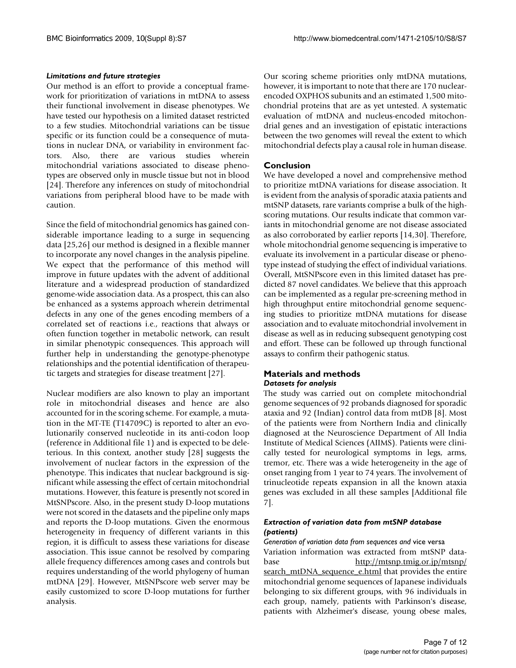#### *Limitations and future strategies*

Our method is an effort to provide a conceptual framework for prioritization of variations in mtDNA to assess their functional involvement in disease phenotypes. We have tested our hypothesis on a limited dataset restricted to a few studies. Mitochondrial variations can be tissue specific or its function could be a consequence of mutations in nuclear DNA, or variability in environment factors. Also, there are various studies wherein mitochondrial variations associated to disease phenotypes are observed only in muscle tissue but not in blood [24]. Therefore any inferences on study of mitochondrial variations from peripheral blood have to be made with caution.

Since the field of mitochondrial genomics has gained considerable importance leading to a surge in sequencing data [25,26] our method is designed in a flexible manner to incorporate any novel changes in the analysis pipeline. We expect that the performance of this method will improve in future updates with the advent of additional literature and a widespread production of standardized genome-wide association data. As a prospect, this can also be enhanced as a systems approach wherein detrimental defects in any one of the genes encoding members of a correlated set of reactions i.e., reactions that always or often function together in metabolic network, can result in similar phenotypic consequences. This approach will further help in understanding the genotype-phenotype relationships and the potential identification of therapeutic targets and strategies for disease treatment [27].

Nuclear modifiers are also known to play an important role in mitochondrial diseases and hence are also accounted for in the scoring scheme. For example, a mutation in the MT-TE (T14709C) is reported to alter an evolutionarily conserved nucleotide in its anti-codon loop (reference in Additional file 1) and is expected to be deleterious. In this context, another study [28] suggests the involvement of nuclear factors in the expression of the phenotype. This indicates that nuclear background is significant while assessing the effect of certain mitochondrial mutations. However, this feature is presently not scored in MtSNPscore. Also, in the present study D-loop mutations were not scored in the datasets and the pipeline only maps and reports the D-loop mutations. Given the enormous heterogeneity in frequency of different variants in this region, it is difficult to assess these variations for disease association. This issue cannot be resolved by comparing allele frequency differences among cases and controls but requires understanding of the world phylogeny of human mtDNA [29]. However, MtSNPscore web server may be easily customized to score D-loop mutations for further analysis.

Our scoring scheme priorities only mtDNA mutations, however, it is important to note that there are 170 nuclearencoded OXPHOS subunits and an estimated 1,500 mitochondrial proteins that are as yet untested. A systematic evaluation of mtDNA and nucleus-encoded mitochondrial genes and an investigation of epistatic interactions between the two genomes will reveal the extent to which mitochondrial defects play a causal role in human disease.

# **Conclusion**

We have developed a novel and comprehensive method to prioritize mtDNA variations for disease association. It is evident from the analysis of sporadic ataxia patients and mtSNP datasets, rare variants comprise a bulk of the highscoring mutations. Our results indicate that common variants in mitochondrial genome are not disease associated as also corroborated by earlier reports [14,30]. Therefore, whole mitochondrial genome sequencing is imperative to evaluate its involvement in a particular disease or phenotype instead of studying the effect of individual variations. Overall, MtSNPscore even in this limited dataset has predicted 87 novel candidates. We believe that this approach can be implemented as a regular pre-screening method in high throughput entire mitochondrial genome sequencing studies to prioritize mtDNA mutations for disease association and to evaluate mitochondrial involvement in disease as well as in reducing subsequent genotyping cost and effort. These can be followed up through functional assays to confirm their pathogenic status.

#### **Materials and methods** *Datasets for analysis*

The study was carried out on complete mitochondrial genome sequences of 92 probands diagnosed for sporadic ataxia and 92 (Indian) control data from mtDB [8]. Most of the patients were from Northern India and clinically diagnosed at the Neuroscience Department of All India Institute of Medical Sciences (AIIMS). Patients were clinically tested for neurological symptoms in legs, arms, tremor, etc. There was a wide heterogeneity in the age of onset ranging from 1 year to 74 years. The involvement of trinucleotide repeats expansion in all the known ataxia genes was excluded in all these samples [Additional file 7].

# *Extraction of variation data from mtSNP database (patients)*

*Generation of variation data from sequences and* vice versa Variation information was extracted from mtSNP database [http://mtsnp.tmig.or.jp/mtsnp/](http://mtsnp.tmig.or.jp/mtsnp/search_mtDNA_sequence_e.html) [search\\_mtDNA\\_sequence\\_e.html](http://mtsnp.tmig.or.jp/mtsnp/search_mtDNA_sequence_e.html) that provides the entire mitochondrial genome sequences of Japanese individuals belonging to six different groups, with 96 individuals in each group, namely, patients with Parkinson's disease, patients with Alzheimer's disease, young obese males,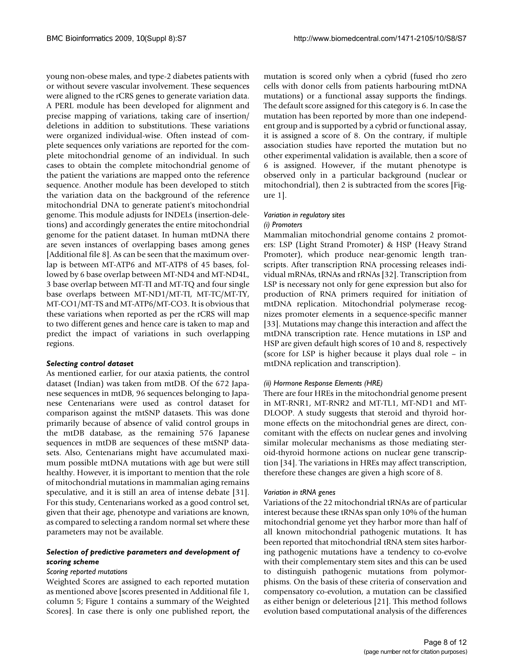young non-obese males, and type-2 diabetes patients with or without severe vascular involvement. These sequences were aligned to the rCRS genes to generate variation data. A PERL module has been developed for alignment and precise mapping of variations, taking care of insertion/ deletions in addition to substitutions. These variations were organized individual-wise. Often instead of complete sequences only variations are reported for the complete mitochondrial genome of an individual. In such cases to obtain the complete mitochondrial genome of the patient the variations are mapped onto the reference sequence. Another module has been developed to stitch the variation data on the background of the reference mitochondrial DNA to generate patient's mitochondrial genome. This module adjusts for INDELs (insertion-deletions) and accordingly generates the entire mitochondrial genome for the patient dataset. In human mtDNA there are seven instances of overlapping bases among genes [Additional file 8]. As can be seen that the maximum overlap is between MT-ATP6 and MT-ATP8 of 45 bases, followed by 6 base overlap between MT-ND4 and MT-ND4L, 3 base overlap between MT-TI and MT-TQ and four single base overlaps between MT-ND1/MT-TI, MT-TC/MT-TY, MT-CO1/MT-TS and MT-ATP6/MT-CO3. It is obvious that these variations when reported as per the rCRS will map to two different genes and hence care is taken to map and predict the impact of variations in such overlapping regions.

#### *Selecting control dataset*

As mentioned earlier, for our ataxia patients, the control dataset (Indian) was taken from mtDB. Of the 672 Japanese sequences in mtDB, 96 sequences belonging to Japanese Centenarians were used as control dataset for comparison against the mtSNP datasets. This was done primarily because of absence of valid control groups in the mtDB database, as the remaining 576 Japanese sequences in mtDB are sequences of these mtSNP datasets. Also, Centenarians might have accumulated maximum possible mtDNA mutations with age but were still healthy. However, it is important to mention that the role of mitochondrial mutations in mammalian aging remains speculative, and it is still an area of intense debate [31]. For this study, Centenarians worked as a good control set, given that their age, phenotype and variations are known, as compared to selecting a random normal set where these parameters may not be available.

#### *Selection of predictive parameters and development of scoring scheme*

#### *Scoring reported mutations*

Weighted Scores are assigned to each reported mutation as mentioned above [scores presented in Additional file 1, column 5; Figure 1 contains a summary of the Weighted Scores]. In case there is only one published report, the mutation is scored only when a cybrid (fused rho zero cells with donor cells from patients harbouring mtDNA mutations) or a functional assay supports the findings. The default score assigned for this category is 6. In case the mutation has been reported by more than one independent group and is supported by a cybrid or functional assay, it is assigned a score of 8. On the contrary, if multiple association studies have reported the mutation but no other experimental validation is available, then a score of 6 is assigned. However, if the mutant phenotype is observed only in a particular background (nuclear or mitochondrial), then 2 is subtracted from the scores [Figure 1].

# *Variation in regulatory sites*

#### *(i) Promoters*

Mammalian mitochondrial genome contains 2 promoters: LSP (Light Strand Promoter) & HSP (Heavy Strand Promoter), which produce near-genomic length transcripts. After transcription RNA processing releases individual mRNAs, tRNAs and rRNAs [32]. Transcription from LSP is necessary not only for gene expression but also for production of RNA primers required for initiation of mtDNA replication. Mitochondrial polymerase recognizes promoter elements in a sequence-specific manner [33]. Mutations may change this interaction and affect the mtDNA transcription rate. Hence mutations in LSP and HSP are given default high scores of 10 and 8, respectively (score for LSP is higher because it plays dual role – in mtDNA replication and transcription).

#### *(ii) Hormone Response Elements (HRE)*

There are four HREs in the mitochondrial genome present in MT-RNR1, MT-RNR2 and MT-TL1, MT-ND1 and MT-DLOOP. A study suggests that steroid and thyroid hormone effects on the mitochondrial genes are direct, concomitant with the effects on nuclear genes and involving similar molecular mechanisms as those mediating steroid-thyroid hormone actions on nuclear gene transcription [34]. The variations in HREs may affect transcription, therefore these changes are given a high score of 8.

#### *Variation in tRNA genes*

Variations of the 22 mitochondrial tRNAs are of particular interest because these tRNAs span only 10% of the human mitochondrial genome yet they harbor more than half of all known mitochondrial pathogenic mutations. It has been reported that mitochondrial tRNA stem sites harboring pathogenic mutations have a tendency to co-evolve with their complementary stem sites and this can be used to distinguish pathogenic mutations from polymorphisms. On the basis of these criteria of conservation and compensatory co-evolution, a mutation can be classified as either benign or deleterious [21]. This method follows evolution based computational analysis of the differences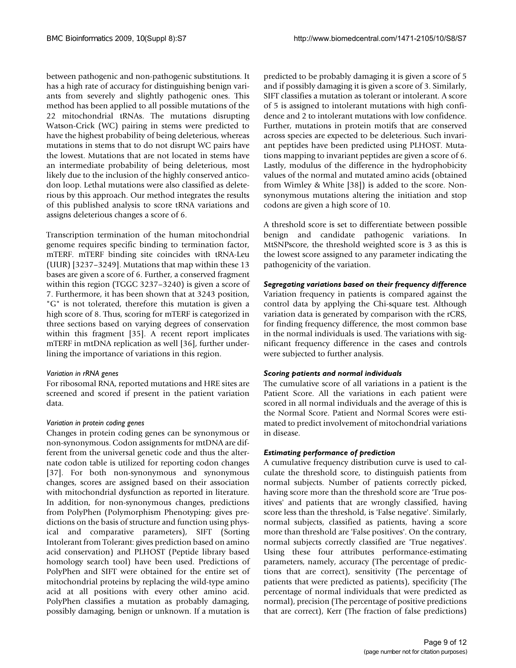between pathogenic and non-pathogenic substitutions. It has a high rate of accuracy for distinguishing benign variants from severely and slightly pathogenic ones. This method has been applied to all possible mutations of the 22 mitochondrial tRNAs. The mutations disrupting Watson-Crick (WC) pairing in stems were predicted to have the highest probability of being deleterious, whereas mutations in stems that to do not disrupt WC pairs have the lowest. Mutations that are not located in stems have an intermediate probability of being deleterious, most likely due to the inclusion of the highly conserved anticodon loop. Lethal mutations were also classified as deleterious by this approach. Our method integrates the results of this published analysis to score tRNA variations and assigns deleterious changes a score of 6.

Transcription termination of the human mitochondrial genome requires specific binding to termination factor, mTERF. mTERF binding site coincides with tRNA-Leu (UUR) [3237–3249]. Mutations that map within these 13 bases are given a score of 6. Further, a conserved fragment within this region (TGGC 3237–3240) is given a score of 7. Furthermore, it has been shown that at 3243 position, "G" is not tolerated, therefore this mutation is given a high score of 8. Thus, scoring for mTERF is categorized in three sections based on varying degrees of conservation within this fragment [35]. A recent report implicates mTERF in mtDNA replication as well [36], further underlining the importance of variations in this region.

# *Variation in rRNA genes*

For ribosomal RNA, reported mutations and HRE sites are screened and scored if present in the patient variation data.

# *Variation in protein coding genes*

Changes in protein coding genes can be synonymous or non-synonymous. Codon assignments for mtDNA are different from the universal genetic code and thus the alternate codon table is utilized for reporting codon changes [37]. For both non-synonymous and synonymous changes, scores are assigned based on their association with mitochondrial dysfunction as reported in literature. In addition, for non-synonymous changes, predictions from PolyPhen (Polymorphism Phenotyping: gives predictions on the basis of structure and function using physical and comparative parameters), SIFT (Sorting Intolerant from Tolerant: gives prediction based on amino acid conservation) and PLHOST (Peptide library based homology search tool) have been used. Predictions of PolyPhen and SIFT were obtained for the entire set of mitochondrial proteins by replacing the wild-type amino acid at all positions with every other amino acid. PolyPhen classifies a mutation as probably damaging, possibly damaging, benign or unknown. If a mutation is predicted to be probably damaging it is given a score of 5 and if possibly damaging it is given a score of 3. Similarly, SIFT classifies a mutation as tolerant or intolerant. A score of 5 is assigned to intolerant mutations with high confidence and 2 to intolerant mutations with low confidence. Further, mutations in protein motifs that are conserved across species are expected to be deleterious. Such invariant peptides have been predicted using PLHOST. Mutations mapping to invariant peptides are given a score of 6. Lastly, modulus of the difference in the hydrophobicity values of the normal and mutated amino acids (obtained from Wimley & White [38]) is added to the score. Nonsynonymous mutations altering the initiation and stop codons are given a high score of 10.

A threshold score is set to differentiate between possible benign and candidate pathogenic variations. In MtSNPscore, the threshold weighted score is 3 as this is the lowest score assigned to any parameter indicating the pathogenicity of the variation.

# *Segregating variations based on their frequency difference*

Variation frequency in patients is compared against the control data by applying the Chi-square test. Although variation data is generated by comparison with the rCRS, for finding frequency difference, the most common base in the normal individuals is used. The variations with significant frequency difference in the cases and controls were subjected to further analysis.

#### *Scoring patients and normal individuals*

The cumulative score of all variations in a patient is the Patient Score. All the variations in each patient were scored in all normal individuals and the average of this is the Normal Score. Patient and Normal Scores were estimated to predict involvement of mitochondrial variations in disease.

#### *Estimating performance of prediction*

A cumulative frequency distribution curve is used to calculate the threshold score, to distinguish patients from normal subjects. Number of patients correctly picked, having score more than the threshold score are 'True positives' and patients that are wrongly classified, having score less than the threshold, is 'False negative'. Similarly, normal subjects, classified as patients, having a score more than threshold are 'False positives'. On the contrary, normal subjects correctly classified are 'True negatives'. Using these four attributes performance-estimating parameters, namely, accuracy (The percentage of predictions that are correct), sensitivity (The percentage of patients that were predicted as patients), specificity (The percentage of normal individuals that were predicted as normal), precision (The percentage of positive predictions that are correct), Kerr (The fraction of false predictions)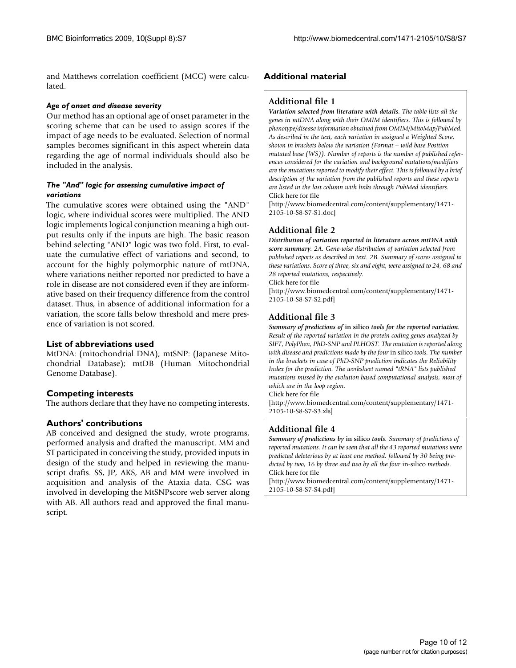and Matthews correlation coefficient (MCC) were calculated.

### *Age of onset and disease severity*

Our method has an optional age of onset parameter in the scoring scheme that can be used to assign scores if the impact of age needs to be evaluated. Selection of normal samples becomes significant in this aspect wherein data regarding the age of normal individuals should also be included in the analysis.

# *The "And" logic for assessing cumulative impact of variations*

The cumulative scores were obtained using the "AND" logic, where individual scores were multiplied. The AND logic implements logical conjunction meaning a high output results only if the inputs are high. The basic reason behind selecting "AND" logic was two fold. First, to evaluate the cumulative effect of variations and second, to account for the highly polymorphic nature of mtDNA, where variations neither reported nor predicted to have a role in disease are not considered even if they are informative based on their frequency difference from the control dataset. Thus, in absence of additional information for a variation, the score falls below threshold and mere presence of variation is not scored.

# **List of abbreviations used**

MtDNA: (mitochondrial DNA); mtSNP: (Japanese Mitochondrial Database); mtDB (Human Mitochondrial Genome Database).

# **Competing interests**

The authors declare that they have no competing interests.

# **Authors' contributions**

AB conceived and designed the study, wrote programs, performed analysis and drafted the manuscript. MM and ST participated in conceiving the study, provided inputs in design of the study and helped in reviewing the manuscript drafts. SS, JP, AKS, AB and MM were involved in acquisition and analysis of the Ataxia data. CSG was involved in developing the MtSNPscore web server along with AB. All authors read and approved the final manuscript.

### **Additional material**

# **Additional file 1**

*Variation selected from literature with details. The table lists all the genes in mtDNA along with their OMIM identifiers. This is followed by phenotype/disease information obtained from OMIM/MitoMap/PubMed. As described in the text, each variation in assigned a Weighted Score, shown in brackets below the variation (Format – wild base Position mutated base (WS)). Number of reports is the number of published references considered for the variation and background mutations/modifiers are the mutations reported to modify their effect. This is followed by a brief description of the variation from the published reports and these reports are listed in the last column with links through PubMed identifiers.* Click here for file

[\[http://www.biomedcentral.com/content/supplementary/1471-](http://www.biomedcentral.com/content/supplementary/1471-2105-10-S8-S7-S1.doc) 2105-10-S8-S7-S1.doc]

# **Additional file 2**

*Distribution of variation reported in literature across mtDNA with score summary. 2A. Gene-wise distribution of variation selected from published reports as described in text. 2B. Summary of scores assigned to these variations. Score of three, six and eight, were assigned to 24, 68 and 28 reported mutations, respectively.*

Click here for file

[\[http://www.biomedcentral.com/content/supplementary/1471-](http://www.biomedcentral.com/content/supplementary/1471-2105-10-S8-S7-S2.pdf) 2105-10-S8-S7-S2.pdf]

# **Additional file 3**

*Summary of predictions of* **in silico** *tools for the reported variation. Result of the reported variation in the protein coding genes analyzed by SIFT, PolyPhen, PhD-SNP and PLHOST. The mutation is reported along with disease and predictions made by the four* in silico *tools. The number in the brackets in case of PhD-SNP prediction indicates the Reliability Index for the prediction. The worksheet named "tRNA" lists published mutations missed by the evolution based computational analysis, most of which are in the loop region.*

Click here for file

[\[http://www.biomedcentral.com/content/supplementary/1471-](http://www.biomedcentral.com/content/supplementary/1471-2105-10-S8-S7-S3.xls) 2105-10-S8-S7-S3.xls]

# **Additional file 4**

*Summary of predictions by* **in silico** *tools. Summary of predictions of reported mutations. It can be seen that all the 43 reported mutations were predicted deleterious by at least one method, followed by 30 being predicted by two, 16 by three and two by all the four* in-silico *methods.* Click here for file

[\[http://www.biomedcentral.com/content/supplementary/1471-](http://www.biomedcentral.com/content/supplementary/1471-2105-10-S8-S7-S4.pdf) 2105-10-S8-S7-S4.pdf]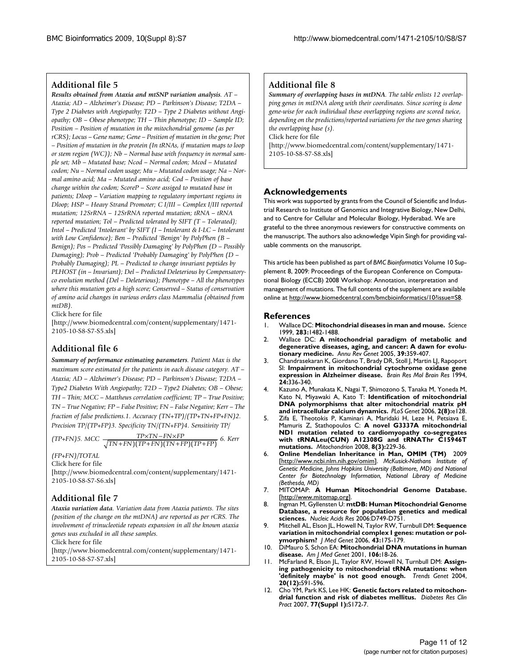# **Additional file 5**

*Results obtained from Ataxia and mtSNP variation analysis. AT – Ataxia; AD – Alzheimer's Disease; PD – Parkinson's Disease; T2DA – Type 2 Diabetes with Angiopathy; T2D – Type 2 Diabetes without Angiopathy; OB – Obese phenotype; TH – Thin phenotype; ID – Sample ID; Position – Position of mutation in the mitochondrial genome (as per rCRS); Locus – Gene name; Gene – Position of mutation in the gene; Prot – Position of mutation in the protein (In tRNAs, if mutation maps to loop or stem region (WC)); Nb – Normal base with frequency in normal sample set; Mb – Mutated base; Ncod – Normal codon; Mcod – Mutated codon; Nu – Normal codon usage; Mu – Mutated codon usage; Na – Normal amino acid; Ma – Mutated amino acid; Cod – Position of base change within the codon; ScoreP – Score assiged to mutated base in patients; Dloop – Variation mapping to regulatory important regions in Dloop; HSP – Heavy Strand Promoter; C I/III – Complex I/III reported mutation; 12SrRNA – 12SrRNA reported mutation; tRNA – tRNA reported mutation; Tol – Predicted tolerated by SIFT (T – Tolerated); Intol – Predicted 'Intolerant' by SIFT (I – Intolerant & I-LC – Intolerant with Low Confidence); Ben – Predicted 'Benign' by PolyPhen (B – Benign); Pos – Predicted 'Possibly Damaging' by PolyPhen (D – Possibly Damaging); Prob – Predicted 'Probably Damaging' by PolyPhen (D – Probably Damaging); PL – Predicted to change invariant peptides by PLHOST (in – Invariant); Del – Predicted Deleterious by Compensatoryco evolution method (Del – Deleterious); Phenotype – All the phenotypes where this mutation gets a high score; Conserved – Status of conservation of amino acid changes in various orders class Mammalia (obtained from mtDB).*

Click here for file

[\[http://www.biomedcentral.com/content/supplementary/1471-](http://www.biomedcentral.com/content/supplementary/1471-2105-10-S8-S7-S5.xls) 2105-10-S8-S7-S5.xls]

# **Additional file 6**

*Summary of performance estimating parameters. Patient Max is the maximum score estimated for the patients in each disease category. AT – Ataxia; AD – Alzheimer's Disease; PD – Parkinson's Disease; T2DA – Type2 Diabetes With Angiopathy; T2D – Type2 Diabetes; OB – Obese; TH – Thin; MCC – Matthews correlation coefficient; TP – True Positive; TN – True Negative; FP – False Positive; FN – False Negative; Kerr – The fraction of false predictions.1. Accuracy (TN+TP)/(TP+TN+FP+FN)2. Precision TP/(TP+FP)3. Specificity TN/(TN+FP)4. Sensitivity TP/*

 $(TP+FN)$ 5. MCC  $\frac{I^T \times I^N - I^N \times I^P}{\sqrt{TN + FN} \cdot (TP + FN) \cdot (TN + FP) \cdot (TP + FP)}$  6. Kerr TP×TN-FN×FP

*(FP+FN)/TOTAL*

Click here for file

[\[http://www.biomedcentral.com/content/supplementary/1471-](http://www.biomedcentral.com/content/supplementary/1471-2105-10-S8-S7-S6.xls) 2105-10-S8-S7-S6.xls]

# **Additional file 7**

*Ataxia variation data. Variation data from Ataxia patients. The sites (position of the change on the mtDNA) are reported as per rCRS. The involvement of trinucleotide repeats expansion in all the known ataxia genes was excluded in all these samples.*

Click here for file

[\[http://www.biomedcentral.com/content/supplementary/1471-](http://www.biomedcentral.com/content/supplementary/1471-2105-10-S8-S7-S7.xls) 2105-10-S8-S7-S7.xls]

# **Additional file 8**

*Summary of overlapping bases in mtDNA. The table enlists 12 overlapping genes in mtDNA along with their coordinates. Since scoring is done gene-wise for each individual these overlapping regions are scored twice, depending on the predictions/reported variations for the two genes sharing the overlapping base (s).*

Click here for file

[\[http://www.biomedcentral.com/content/supplementary/1471-](http://www.biomedcentral.com/content/supplementary/1471-2105-10-S8-S7-S8.xls) 2105-10-S8-S7-S8.xls]

# **Acknowledgements**

This work was supported by grants from the Council of Scientific and Industrial Research to Institute of Genomics and Integrative Biology, New Delhi, and to Centre for Cellular and Molecular Biology, Hyderabad. We are grateful to the three anonymous reviewers for constructive comments on the manuscript. The authors also acknowledge Vipin Singh for providing valuable comments on the manuscript.

This article has been published as part of *BMC Bioinformatics* Volume 10 Supplement 8, 2009: Proceedings of the European Conference on Computational Biology (ECCB) 2008 Workshop: Annotation, interpretation and management of mutations. The full contents of the supplement are available online at<http://www.biomedcentral.com/bmcbioinformatics/10?issue=S8>.

# **References**

- 1. Wallace DC: **[Mitochondrial diseases in man and mouse.](http://www.ncbi.nlm.nih.gov/entrez/query.fcgi?cmd=Retrieve&db=PubMed&dopt=Abstract&list_uids=10066162)** *Science* 1999, **283:**1482-1488.
- 2. Wallace DC: **[A mitochondrial paradigm of metabolic and](http://www.ncbi.nlm.nih.gov/entrez/query.fcgi?cmd=Retrieve&db=PubMed&dopt=Abstract&list_uids=16285865) [degenerative diseases, aging, and cancer: A dawn for evolu](http://www.ncbi.nlm.nih.gov/entrez/query.fcgi?cmd=Retrieve&db=PubMed&dopt=Abstract&list_uids=16285865)[tionary medicine.](http://www.ncbi.nlm.nih.gov/entrez/query.fcgi?cmd=Retrieve&db=PubMed&dopt=Abstract&list_uids=16285865)** *Annu Rev Genet* 2005, **39:**359-407.
- 3. Chandrasekaran K, Giordano T, Brady DR, Stoll J, Martin LJ, Rapoport SI: **[Impairment in mitochondrial cytochrome oxidase gene](http://www.ncbi.nlm.nih.gov/entrez/query.fcgi?cmd=Retrieve&db=PubMed&dopt=Abstract&list_uids=7968373) [expression in Alzheimer disease.](http://www.ncbi.nlm.nih.gov/entrez/query.fcgi?cmd=Retrieve&db=PubMed&dopt=Abstract&list_uids=7968373)** *Brain Res Mol Brain Res* 1994, **24:**336-340.
- 4. Kazuno A, Munakata K, Nagai T, Shimozono S, Tanaka M, Yoneda M, Kato N, Miyawaki A, Kato T: **[Identification of mitochondrial](http://www.ncbi.nlm.nih.gov/entrez/query.fcgi?cmd=Retrieve&db=PubMed&dopt=Abstract&list_uids=16895436) [DNA polymorphisms that alter mitochondrial matrix pH](http://www.ncbi.nlm.nih.gov/entrez/query.fcgi?cmd=Retrieve&db=PubMed&dopt=Abstract&list_uids=16895436) [and intracellular calcium dynamics.](http://www.ncbi.nlm.nih.gov/entrez/query.fcgi?cmd=Retrieve&db=PubMed&dopt=Abstract&list_uids=16895436)** *PLoS Genet* 2006, **2(8):**e128.
- 5. Zifa E, Theotokis P, Kaminari A, Maridaki H, Leze H, Petsiava E, Mamuris Z, Stathopoulos C: **[A novel G3337A mitochondrial](http://www.ncbi.nlm.nih.gov/entrez/query.fcgi?cmd=Retrieve&db=PubMed&dopt=Abstract&list_uids=18502698) [ND1 mutation related to cardiomyopathy co-segregates](http://www.ncbi.nlm.nih.gov/entrez/query.fcgi?cmd=Retrieve&db=PubMed&dopt=Abstract&list_uids=18502698) with tRNALeu(CUN) A12308G and tRNAThr C15946T [mutations.](http://www.ncbi.nlm.nih.gov/entrez/query.fcgi?cmd=Retrieve&db=PubMed&dopt=Abstract&list_uids=18502698)** *Mitochondrion* 2008, **8(3):**229-36.
- 6. **Online Mendelian Inheritance in Man, OMIM (TM)** 2009 [[http://www.ncbi.nlm.nih.gov/omim\]](http://www.ncbi.nlm.nih.gov/omim). *McKusick-Nathans Institute of Genetic Medicine, Johns Hopkins University (Baltimore, MD) and National Center for Biotechnology Information, National Library of Medicine (Bethesda, MD)*
- 7. MITOMAP: **A Human Mitochondrial Genome Database.** [[http://www.mitomap.org\]](http://www.mitomap.org).
- 8. Ingman M, Gyllensten U: **[mtDB: Human Mitochondrial Genome](http://www.ncbi.nlm.nih.gov/entrez/query.fcgi?cmd=Retrieve&db=PubMed&dopt=Abstract&list_uids=16381973) [Database, a resource for population genetics and medical](http://www.ncbi.nlm.nih.gov/entrez/query.fcgi?cmd=Retrieve&db=PubMed&dopt=Abstract&list_uids=16381973) [sciences.](http://www.ncbi.nlm.nih.gov/entrez/query.fcgi?cmd=Retrieve&db=PubMed&dopt=Abstract&list_uids=16381973)** *Nucleic Acids Res* 2006:D749-D751.
- 9. Mitchell AL, Elson JL, Howell N, Taylor RW, Turnbull DM: **[Sequence](http://www.ncbi.nlm.nih.gov/entrez/query.fcgi?cmd=Retrieve&db=PubMed&dopt=Abstract&list_uids=15972314) [variation in mitochondrial complex I genes: mutation or pol](http://www.ncbi.nlm.nih.gov/entrez/query.fcgi?cmd=Retrieve&db=PubMed&dopt=Abstract&list_uids=15972314)[ymorphism?](http://www.ncbi.nlm.nih.gov/entrez/query.fcgi?cmd=Retrieve&db=PubMed&dopt=Abstract&list_uids=15972314)** *J Med Genet* 2006, **43:**175-179.
- 10. DiMauro S, Schon EA: **[Mitochondrial DNA mutations in human](http://www.ncbi.nlm.nih.gov/entrez/query.fcgi?cmd=Retrieve&db=PubMed&dopt=Abstract&list_uids=11579421) [disease.](http://www.ncbi.nlm.nih.gov/entrez/query.fcgi?cmd=Retrieve&db=PubMed&dopt=Abstract&list_uids=11579421)** *Am J Med Genet* 2001, **106:**18-26.
- 11. McFarland R, Elson JL, Taylor RW, Howell N, Turnbull DM: **[Assign](http://www.ncbi.nlm.nih.gov/entrez/query.fcgi?cmd=Retrieve&db=PubMed&dopt=Abstract&list_uids=15522452)[ing pathogenicity to mitochondrial tRNA mutations: when](http://www.ncbi.nlm.nih.gov/entrez/query.fcgi?cmd=Retrieve&db=PubMed&dopt=Abstract&list_uids=15522452) ['definitely maybe' is not good enough.](http://www.ncbi.nlm.nih.gov/entrez/query.fcgi?cmd=Retrieve&db=PubMed&dopt=Abstract&list_uids=15522452)** *Trends Genet* 2004, **20(12):**591-596.
- 12. Cho YM, Park KS, Lee HK: **[Genetic factors related to mitochon](http://www.ncbi.nlm.nih.gov/entrez/query.fcgi?cmd=Retrieve&db=PubMed&dopt=Abstract&list_uids=17451836)[drial function and risk of diabetes mellitus.](http://www.ncbi.nlm.nih.gov/entrez/query.fcgi?cmd=Retrieve&db=PubMed&dopt=Abstract&list_uids=17451836)** *Diabetes Res Clin Pract* 2007, **77(Suppl 1):**S172-7.